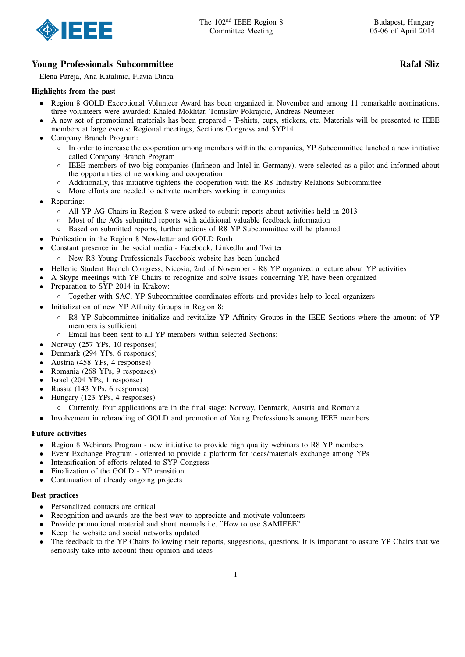

# Young Professionals Subcommittee Rafal Sliz

Elena Pareja, Ana Katalinic, Flavia Dinca

### Highlights from the past

- Region 8 GOLD Exceptional Volunteer Award has been organized in November and among 11 remarkable nominations, three volunteers were awarded: Khaled Mokhtar, Tomislav Pokrajcic, Andreas Neumeier
- A new set of promotional materials has been prepared T-shirts, cups, stickers, etc. Materials will be presented to IEEE members at large events: Regional meetings, Sections Congress and SYP14
- Company Branch Program:
	- In order to increase the cooperation among members within the companies, YP Subcommittee lunched a new initiative called Company Branch Program
	- IEEE members of two big companies (Infineon and Intel in Germany), were selected as a pilot and informed about the opportunities of networking and cooperation
	- Additionally, this initiative tightens the cooperation with the R8 Industry Relations Subcommittee
	- More efforts are needed to activate members working in companies
- Reporting:
	- All YP AG Chairs in Region 8 were asked to submit reports about activities held in 2013
	- Most of the AGs submitted reports with additional valuable feedback information
	- Based on submitted reports, further actions of R8 YP Subcommittee will be planned
- Publication in the Region 8 Newsletter and GOLD Rush
- Constant presence in the social media Facebook, LinkedIn and Twitter
	- New R8 Young Professionals Facebook website has been lunched
- Hellenic Student Branch Congress, Nicosia, 2nd of November R8 YP organized a lecture about YP activities
- A Skype meetings with YP Chairs to recognize and solve issues concerning YP, have been organized
- Preparation to SYP 2014 in Krakow:
	- Together with SAC, YP Subcommittee coordinates efforts and provides help to local organizers
- Initialization of new YP Affinity Groups in Region 8:
	- R8 YP Subcommittee initialize and revitalize YP Affinity Groups in the IEEE Sections where the amount of YP members is sufficient
	- Email has been sent to all YP members within selected Sections:
- Norway (257 YPs, 10 responses)
- Denmark (294 YPs, 6 responses)
- Austria (458 YPs, 4 responses)
- Romania (268 YPs, 9 responses)
- Israel (204 YPs, 1 response)
- Russia (143 YPs, 6 responses)
- Hungary (123 YPs, 4 responses)
- Currently, four applications are in the final stage: Norway, Denmark, Austria and Romania
- Involvement in rebranding of GOLD and promotion of Young Professionals among IEEE members

### Future activities

- Region 8 Webinars Program new initiative to provide high quality webinars to R8 YP members
- Event Exchange Program oriented to provide a platform for ideas/materials exchange among YPs
- Intensification of efforts related to SYP Congress
- Finalization of the GOLD YP transition
- Continuation of already ongoing projects

#### Best practices

- Personalized contacts are critical
- Recognition and awards are the best way to appreciate and motivate volunteers
- Provide promotional material and short manuals i.e. "How to use SAMIEEE"
- Keep the website and social networks updated
- The feedback to the YP Chairs following their reports, suggestions, questions. It is important to assure YP Chairs that we seriously take into account their opinion and ideas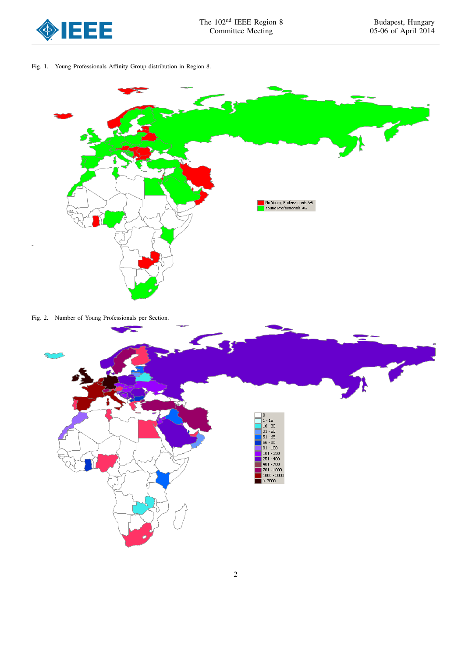

Fig. 1. Young Professionals Affinity Group distribution in Region 8.